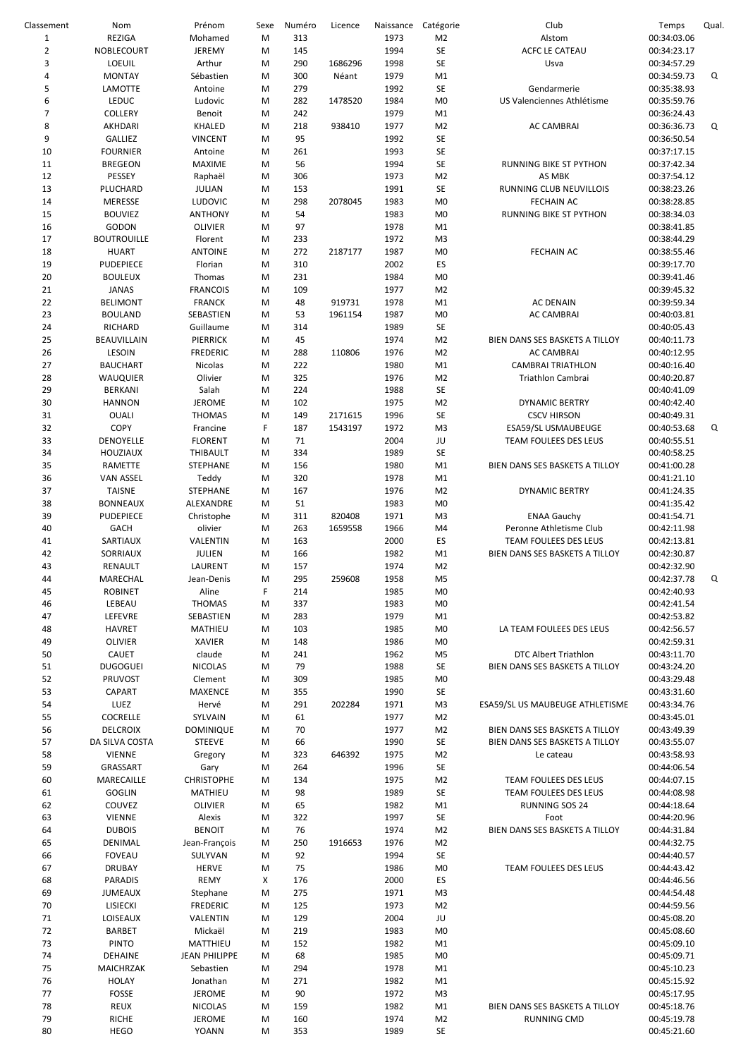| Classement     | Nom                | Prénom               | Sexe | Numéro | Licence | Naissance | Catégorie      | Club                            | Temps       | Qual. |
|----------------|--------------------|----------------------|------|--------|---------|-----------|----------------|---------------------------------|-------------|-------|
| $\mathbf 1$    | REZIGA             | Mohamed              | M    | 313    |         | 1973      | M <sub>2</sub> | Alstom                          | 00:34:03.06 |       |
| $\overline{2}$ | NOBLECOURT         | JEREMY               | M    | 145    |         | 1994      | <b>SE</b>      | ACFC LE CATEAU                  | 00:34:23.17 |       |
|                |                    |                      |      |        |         |           |                |                                 |             |       |
| 3              | <b>LOEUIL</b>      | Arthur               | M    | 290    | 1686296 | 1998      | SE             | Usva                            | 00:34:57.29 |       |
| 4              | <b>MONTAY</b>      | Sébastien            | M    | 300    | Néant   | 1979      | M1             |                                 | 00:34:59.73 | Q     |
| 5              | <b>LAMOTTE</b>     | Antoine              | M    | 279    |         | 1992      | <b>SE</b>      | Gendarmerie                     | 00:35:38.93 |       |
| 6              | LEDUC              | Ludovic              | M    | 282    | 1478520 | 1984      | M <sub>0</sub> | US Valenciennes Athlétisme      | 00:35:59.76 |       |
|                |                    |                      |      |        |         |           |                |                                 |             |       |
| $\overline{7}$ | COLLERY            | Benoit               | M    | 242    |         | 1979      | M1             |                                 | 00:36:24.43 |       |
| 8              | AKHDARI            | KHALED               | M    | 218    | 938410  | 1977      | M <sub>2</sub> | AC CAMBRAI                      | 00:36:36.73 | Q     |
| 9              | <b>GALLIEZ</b>     | <b>VINCENT</b>       | M    | 95     |         | 1992      | SE             |                                 | 00:36:50.54 |       |
|                |                    |                      |      |        |         |           |                |                                 |             |       |
| 10             | <b>FOURNIER</b>    | Antoine              | M    | 261    |         | 1993      | SE             |                                 | 00:37:17.15 |       |
| 11             | <b>BREGEON</b>     | MAXIME               | M    | 56     |         | 1994      | <b>SE</b>      | RUNNING BIKE ST PYTHON          | 00:37:42.34 |       |
| 12             | PESSEY             | Raphaël              | M    | 306    |         | 1973      | M <sub>2</sub> | AS MBK                          | 00:37:54.12 |       |
|                |                    |                      |      |        |         |           |                |                                 |             |       |
| 13             | PLUCHARD           | <b>JULIAN</b>        | M    | 153    |         | 1991      | SE             | RUNNING CLUB NEUVILLOIS         | 00:38:23.26 |       |
| 14             | MERESSE            | <b>LUDOVIC</b>       | M    | 298    | 2078045 | 1983      | M <sub>0</sub> | <b>FECHAIN AC</b>               | 00:38:28.85 |       |
| 15             | <b>BOUVIEZ</b>     | <b>ANTHONY</b>       | M    | 54     |         | 1983      | M <sub>0</sub> | RUNNING BIKE ST PYTHON          | 00:38:34.03 |       |
|                |                    |                      |      |        |         |           |                |                                 |             |       |
| 16             | <b>GODON</b>       | <b>OLIVIER</b>       | M    | 97     |         | 1978      | M1             |                                 | 00:38:41.85 |       |
| 17             | <b>BOUTROUILLE</b> | Florent              | M    | 233    |         | 1972      | M <sub>3</sub> |                                 | 00:38:44.29 |       |
| 18             | <b>HUART</b>       | <b>ANTOINE</b>       | M    | 272    | 2187177 | 1987      | M <sub>0</sub> | <b>FECHAIN AC</b>               | 00:38:55.46 |       |
| 19             | PUDEPIECE          | Florian              | M    | 310    |         | 2002      | ES             |                                 | 00:39:17.70 |       |
|                |                    |                      |      |        |         |           |                |                                 |             |       |
| 20             | <b>BOULEUX</b>     | Thomas               | M    | 231    |         | 1984      | M <sub>0</sub> |                                 | 00:39:41.46 |       |
| 21             | <b>JANAS</b>       | <b>FRANCOIS</b>      | M    | 109    |         | 1977      | M <sub>2</sub> |                                 | 00:39:45.32 |       |
| 22             | <b>BELIMONT</b>    | <b>FRANCK</b>        | M    | 48     | 919731  | 1978      | M1             | <b>AC DENAIN</b>                | 00:39:59.34 |       |
|                |                    |                      |      |        |         |           |                |                                 |             |       |
| 23             | <b>BOULAND</b>     | SEBASTIEN            | M    | 53     | 1961154 | 1987      | M <sub>0</sub> | <b>AC CAMBRAI</b>               | 00:40:03.81 |       |
| 24             | RICHARD            | Guillaume            | M    | 314    |         | 1989      | SE             |                                 | 00:40:05.43 |       |
| 25             | BEAUVILLAIN        | PIERRICK             | M    | 45     |         | 1974      | M <sub>2</sub> | BIEN DANS SES BASKETS A TILLOY  | 00:40:11.73 |       |
|                |                    |                      |      |        |         |           |                |                                 |             |       |
| 26             | <b>LESOIN</b>      | <b>FREDERIC</b>      | M    | 288    | 110806  | 1976      | M <sub>2</sub> | <b>AC CAMBRAI</b>               | 00:40:12.95 |       |
| 27             | <b>BAUCHART</b>    | Nicolas              | M    | 222    |         | 1980      | M1             | <b>CAMBRAI TRIATHLON</b>        | 00:40:16.40 |       |
| 28             | WAUQUIER           | Olivier              | M    | 325    |         | 1976      | M <sub>2</sub> | Triathlon Cambrai               | 00:40:20.87 |       |
|                |                    |                      |      |        |         |           |                |                                 |             |       |
| 29             | BERKANI            | Salah                | M    | 224    |         | 1988      | <b>SE</b>      |                                 | 00:40:41.09 |       |
| 30             | <b>HANNON</b>      | <b>JEROME</b>        | M    | 102    |         | 1975      | M <sub>2</sub> | <b>DYNAMIC BERTRY</b>           | 00:40:42.40 |       |
| 31             | <b>OUALI</b>       | <b>THOMAS</b>        | M    | 149    | 2171615 | 1996      | <b>SE</b>      | <b>CSCV HIRSON</b>              | 00:40:49.31 |       |
|                |                    |                      |      |        |         |           |                |                                 |             |       |
| 32             | COPY               | Francine             | F    | 187    | 1543197 | 1972      | M <sub>3</sub> | ESA59/SL USMAUBEUGE             | 00:40:53.68 | Q     |
| 33             | DENOYELLE          | <b>FLORENT</b>       | M    | 71     |         | 2004      | JU             | TEAM FOULEES DES LEUS           | 00:40:55.51 |       |
| 34             | <b>HOUZIAUX</b>    | THIBAULT             | M    | 334    |         | 1989      | <b>SE</b>      |                                 | 00:40:58.25 |       |
|                |                    |                      |      |        |         |           |                |                                 |             |       |
| 35             | RAMETTE            | <b>STEPHANE</b>      | M    | 156    |         | 1980      | M1             | BIEN DANS SES BASKETS A TILLOY  | 00:41:00.28 |       |
| 36             | <b>VAN ASSEL</b>   | Teddy                | M    | 320    |         | 1978      | M1             |                                 | 00:41:21.10 |       |
| 37             | <b>TAISNE</b>      | STEPHANE             | M    | 167    |         | 1976      | M <sub>2</sub> | <b>DYNAMIC BERTRY</b>           | 00:41:24.35 |       |
|                |                    |                      |      |        |         |           |                |                                 |             |       |
| 38             | <b>BONNEAUX</b>    | ALEXANDRE            | M    | 51     |         | 1983      | M <sub>0</sub> |                                 | 00:41:35.42 |       |
| 39             | <b>PUDEPIECE</b>   | Christophe           | M    | 311    | 820408  | 1971      | M <sub>3</sub> | <b>ENAA Gauchy</b>              | 00:41:54.71 |       |
| 40             | <b>GACH</b>        | olivier              | M    | 263    | 1659558 | 1966      | M4             | Peronne Athletisme Club         | 00:42:11.98 |       |
| 41             | SARTIAUX           | VALENTIN             | M    | 163    |         | 2000      | ES             | TEAM FOULEES DES LEUS           | 00:42:13.81 |       |
|                |                    |                      |      |        |         |           |                |                                 |             |       |
| 42             | SORRIAUX           | JULIEN               | M    | 166    |         | 1982      | M1             | BIEN DANS SES BASKETS A TILLOY  | 00:42:30.87 |       |
| 43             | RENAULT            | LAURENT              | M    | 157    |         | 1974      | M <sub>2</sub> |                                 | 00:42:32.90 |       |
| 44             | MARECHAL           | Jean-Denis           | M    | 295    | 259608  | 1958      | M <sub>5</sub> |                                 | 00:42:37.78 | Q     |
|                |                    |                      |      |        |         |           |                |                                 |             |       |
| 45             | <b>ROBINET</b>     | Aline                | F    | 214    |         | 1985      | M <sub>0</sub> |                                 | 00:42:40.93 |       |
| 46             | LEBEAU             | <b>THOMAS</b>        | M    | 337    |         | 1983      | M <sub>0</sub> |                                 | 00:42:41.54 |       |
| 47             | LEFEVRE            | SEBASTIEN            | M    | 283    |         | 1979      | M1             |                                 | 00:42:53.82 |       |
|                |                    |                      |      |        |         |           |                |                                 |             |       |
| 48             | <b>HAVRET</b>      | MATHIEU              | M    | 103    |         | 1985      | M <sub>0</sub> | LA TEAM FOULEES DES LEUS        | 00:42:56.57 |       |
| 49             | <b>OLIVIER</b>     | <b>XAVIER</b>        | M    | 148    |         | 1986      | M <sub>0</sub> |                                 | 00:42:59.31 |       |
| 50             | CAUET              | claude               | M    | 241    |         | 1962      | M5             | DTC Albert Triathlon            | 00:43:11.70 |       |
|                |                    |                      |      |        |         |           |                |                                 |             |       |
| 51             | <b>DUGOGUEI</b>    | <b>NICOLAS</b>       | M    | 79     |         | 1988      | <b>SE</b>      | BIEN DANS SES BASKETS A TILLOY  | 00:43:24.20 |       |
| 52             | PRUVOST            | Clement              | M    | 309    |         | 1985      | M <sub>0</sub> |                                 | 00:43:29.48 |       |
| 53             | CAPART             | <b>MAXENCE</b>       | M    | 355    |         | 1990      | <b>SE</b>      |                                 | 00:43:31.60 |       |
| 54             | LUEZ               | Hervé                | M    | 291    | 202284  | 1971      | M3             | ESA59/SL US MAUBEUGE ATHLETISME | 00:43:34.76 |       |
|                |                    |                      |      |        |         |           |                |                                 |             |       |
| 55             | COCRELLE           | SYLVAIN              | M    | 61     |         | 1977      | M <sub>2</sub> |                                 | 00:43:45.01 |       |
| 56             | <b>DELCROIX</b>    | <b>DOMINIQUE</b>     | M    | 70     |         | 1977      | M <sub>2</sub> | BIEN DANS SES BASKETS A TILLOY  | 00:43:49.39 |       |
| 57             | DA SILVA COSTA     | <b>STEEVE</b>        | M    | 66     |         | 1990      | <b>SE</b>      | BIEN DANS SES BASKETS A TILLOY  | 00:43:55.07 |       |
|                |                    |                      |      |        |         |           |                |                                 |             |       |
| 58             | <b>VIENNE</b>      | Gregory              | M    | 323    | 646392  | 1975      | M <sub>2</sub> | Le cateau                       | 00:43:58.93 |       |
| 59             | GRASSART           | Gary                 | M    | 264    |         | 1996      | <b>SE</b>      |                                 | 00:44:06.54 |       |
| 60             | MARECAILLE         | <b>CHRISTOPHE</b>    | M    | 134    |         | 1975      | M <sub>2</sub> | TEAM FOULEES DES LEUS           | 00:44:07.15 |       |
|                |                    |                      |      |        |         |           |                |                                 |             |       |
| 61             | GOGLIN             | MATHIEU              | M    | 98     |         | 1989      | <b>SE</b>      | TEAM FOULEES DES LEUS           | 00:44:08.98 |       |
| 62             | COUVEZ             | <b>OLIVIER</b>       | M    | 65     |         | 1982      | M1             | RUNNING SOS 24                  | 00:44:18.64 |       |
| 63             | <b>VIENNE</b>      | Alexis               | M    | 322    |         | 1997      | SE             | Foot                            | 00:44:20.96 |       |
| 64             | <b>DUBOIS</b>      | <b>BENOIT</b>        | M    | 76     |         | 1974      | M <sub>2</sub> | BIEN DANS SES BASKETS A TILLOY  | 00:44:31.84 |       |
|                |                    |                      |      |        |         |           |                |                                 |             |       |
| 65             | DENIMAL            | Jean-François        | M    | 250    | 1916653 | 1976      | M <sub>2</sub> |                                 | 00:44:32.75 |       |
| 66             | <b>FOVEAU</b>      | SULYVAN              | M    | 92     |         | 1994      | <b>SE</b>      |                                 | 00:44:40.57 |       |
| 67             | <b>DRUBAY</b>      | <b>HERVE</b>         | M    | 75     |         | 1986      | M <sub>0</sub> | TEAM FOULEES DES LEUS           | 00:44:43.42 |       |
|                |                    |                      |      |        |         |           |                |                                 |             |       |
| 68             | <b>PARADIS</b>     | REMY                 | X    | 176    |         | 2000      | ES             |                                 | 00:44:46.56 |       |
| 69             | <b>JUMEAUX</b>     | Stephane             | M    | 275    |         | 1971      | M <sub>3</sub> |                                 | 00:44:54.48 |       |
| 70             | LISIECKI           | <b>FREDERIC</b>      | M    | 125    |         | 1973      | M <sub>2</sub> |                                 | 00:44:59.56 |       |
|                |                    |                      |      |        |         |           |                |                                 |             |       |
| 71             | LOISEAUX           | VALENTIN             | M    | 129    |         | 2004      | JU             |                                 | 00:45:08.20 |       |
| 72             | <b>BARBET</b>      | Mickaël              | M    | 219    |         | 1983      | M <sub>0</sub> |                                 | 00:45:08.60 |       |
| 73             | <b>PINTO</b>       | MATTHIEU             | M    | 152    |         | 1982      | M1             |                                 | 00:45:09.10 |       |
|                |                    |                      |      |        |         |           |                |                                 |             |       |
| 74             | <b>DEHAINE</b>     | <b>JEAN PHILIPPE</b> | M    | 68     |         | 1985      | M <sub>0</sub> |                                 | 00:45:09.71 |       |
| 75             | MAICHRZAK          | Sebastien            | M    | 294    |         | 1978      | M1             |                                 | 00:45:10.23 |       |
| 76             | <b>HOLAY</b>       | Jonathan             | M    | 271    |         | 1982      | M1             |                                 | 00:45:15.92 |       |
|                |                    |                      |      |        |         |           |                |                                 |             |       |
| 77             | FOSSE              | <b>JEROME</b>        | M    | 90     |         | 1972      | M3             |                                 | 00:45:17.95 |       |
| 78             | <b>REUX</b>        | <b>NICOLAS</b>       | M    | 159    |         | 1982      | M1             | BIEN DANS SES BASKETS A TILLOY  | 00:45:18.76 |       |
| 79             | <b>RICHE</b>       | <b>JEROME</b>        | M    | 160    |         | 1974      | M <sub>2</sub> | RUNNING CMD                     | 00:45:19.78 |       |
| 80             | <b>HEGO</b>        | <b>YOANN</b>         | M    | 353    |         | 1989      | SE             |                                 | 00:45:21.60 |       |
|                |                    |                      |      |        |         |           |                |                                 |             |       |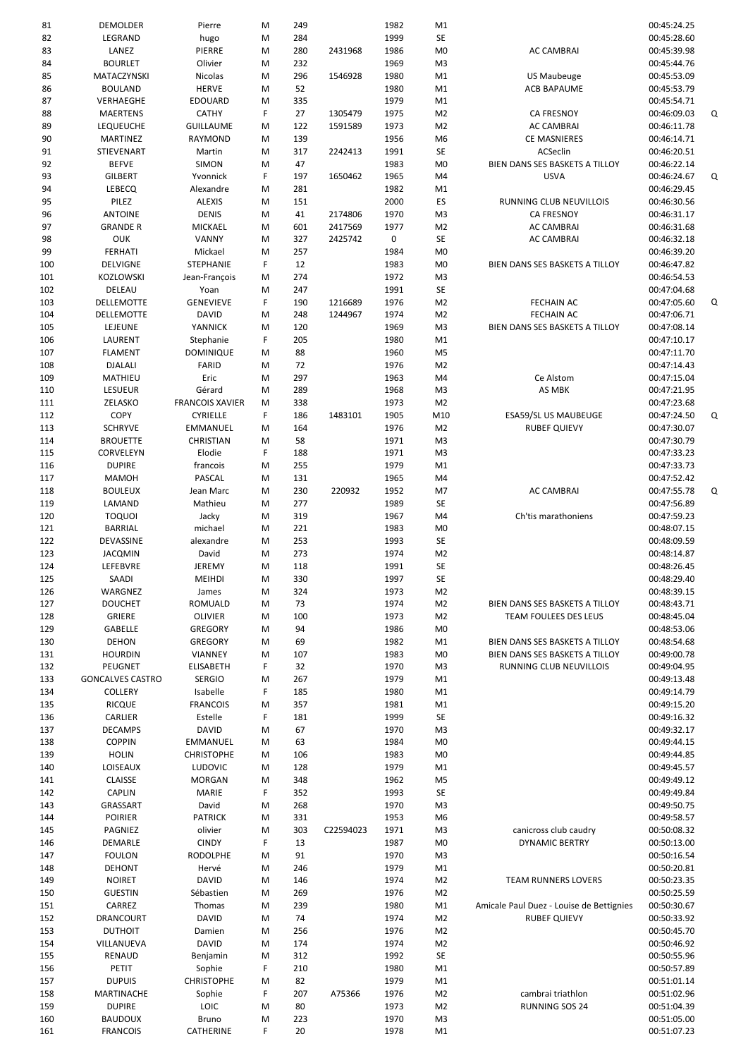| 81  | DEMOLDER                | Pierre                 | M  | 249 |           | 1982 | M1             |                                          | 00:45:24.25 |   |
|-----|-------------------------|------------------------|----|-----|-----------|------|----------------|------------------------------------------|-------------|---|
| 82  | LEGRAND                 | hugo                   | M  | 284 |           | 1999 | SE             |                                          | 00:45:28.60 |   |
| 83  | LANEZ                   | PIERRE                 | M  | 280 | 2431968   | 1986 | M <sub>0</sub> | <b>AC CAMBRAI</b>                        | 00:45:39.98 |   |
| 84  | <b>BOURLET</b>          | Olivier                | М  | 232 |           | 1969 | M <sub>3</sub> |                                          | 00:45:44.76 |   |
| 85  | MATACZYNSKI             | Nicolas                | M  | 296 | 1546928   | 1980 | M1             | <b>US Maubeuge</b>                       | 00:45:53.09 |   |
| 86  | <b>BOULAND</b>          | <b>HERVE</b>           | М  | 52  |           | 1980 | M1             | <b>ACB BAPAUME</b>                       | 00:45:53.79 |   |
| 87  | VERHAEGHE               | <b>EDOUARD</b>         | М  | 335 |           | 1979 | M1             |                                          | 00:45:54.71 |   |
| 88  | <b>MAERTENS</b>         | <b>CATHY</b>           | F  | 27  | 1305479   | 1975 | M <sub>2</sub> | CA FRESNOY                               | 00:46:09.03 | Q |
| 89  | <b>LEQUEUCHE</b>        | <b>GUILLAUME</b>       | М  | 122 | 1591589   | 1973 | M <sub>2</sub> | AC CAMBRAI                               | 00:46:11.78 |   |
| 90  | MARTINEZ                | RAYMOND                | М  | 139 |           | 1956 | M <sub>6</sub> | <b>CE MASNIERES</b>                      | 00:46:14.71 |   |
|     |                         |                        |    |     |           |      |                |                                          |             |   |
| 91  | STIEVENART              | Martin                 | М  | 317 | 2242413   | 1991 | SE             | ACSeclin                                 | 00:46:20.51 |   |
| 92  | <b>BEFVE</b>            | <b>SIMON</b>           | М  | 47  |           | 1983 | M <sub>0</sub> | BIEN DANS SES BASKETS A TILLOY           | 00:46:22.14 |   |
| 93  | <b>GILBERT</b>          | Yvonnick               | F  | 197 | 1650462   | 1965 | M4             | <b>USVA</b>                              | 00:46:24.67 | Q |
| 94  | LEBECQ                  | Alexandre              | M  | 281 |           | 1982 | M1             |                                          | 00:46:29.45 |   |
| 95  | PILEZ                   | <b>ALEXIS</b>          | М  | 151 |           | 2000 | ES             | RUNNING CLUB NEUVILLOIS                  | 00:46:30.56 |   |
| 96  | <b>ANTOINE</b>          | <b>DENIS</b>           | М  | 41  | 2174806   | 1970 | M <sub>3</sub> | CA FRESNOY                               | 00:46:31.17 |   |
| 97  | <b>GRANDE R</b>         | MICKAEL                | M  | 601 | 2417569   | 1977 | M <sub>2</sub> | <b>AC CAMBRAI</b>                        | 00:46:31.68 |   |
| 98  | <b>OUK</b>              | VANNY                  | М  | 327 | 2425742   | 0    | SE             | <b>AC CAMBRAI</b>                        | 00:46:32.18 |   |
| 99  | <b>FERHATI</b>          | Mickael                | M  | 257 |           | 1984 | M <sub>0</sub> |                                          | 00:46:39.20 |   |
| 100 | DELVIGNE                | STEPHANIE              | F  | 12  |           | 1983 | M <sub>0</sub> | BIEN DANS SES BASKETS A TILLOY           | 00:46:47.82 |   |
| 101 | KOZLOWSKI               | Jean-François          | М  | 274 |           | 1972 | M <sub>3</sub> |                                          | 00:46:54.53 |   |
| 102 | DELEAU                  | Yoan                   | M  | 247 |           | 1991 | <b>SE</b>      |                                          | 00:47:04.68 |   |
| 103 | <b>DELLEMOTTE</b>       | <b>GENEVIEVE</b>       | F  | 190 | 1216689   | 1976 | M <sub>2</sub> | <b>FECHAIN AC</b>                        | 00:47:05.60 | Q |
| 104 | DELLEMOTTE              | <b>DAVID</b>           | М  | 248 | 1244967   | 1974 | M <sub>2</sub> | <b>FECHAIN AC</b>                        | 00:47:06.71 |   |
|     | LEJEUNE                 | YANNICK                |    | 120 |           | 1969 |                |                                          |             |   |
| 105 |                         |                        | M  |     |           |      | M <sub>3</sub> | BIEN DANS SES BASKETS A TILLOY           | 00:47:08.14 |   |
| 106 | LAURENT                 | Stephanie              | F  | 205 |           | 1980 | M1             |                                          | 00:47:10.17 |   |
| 107 | <b>FLAMENT</b>          | <b>DOMINIQUE</b>       | М  | 88  |           | 1960 | M <sub>5</sub> |                                          | 00:47:11.70 |   |
| 108 | <b>DJALALI</b>          | FARID                  | M  | 72  |           | 1976 | M <sub>2</sub> |                                          | 00:47:14.43 |   |
| 109 | MATHIEU                 | Eric                   | M  | 297 |           | 1963 | M4             | Ce Alstom                                | 00:47:15.04 |   |
| 110 | <b>LESUEUR</b>          | Gérard                 | М  | 289 |           | 1968 | M <sub>3</sub> | AS MBK                                   | 00:47:21.95 |   |
| 111 | ZELASKO                 | <b>FRANCOIS XAVIER</b> | M  | 338 |           | 1973 | M <sub>2</sub> |                                          | 00:47:23.68 |   |
| 112 | <b>COPY</b>             | CYRIELLE               | F  | 186 | 1483101   | 1905 | M10            | ESA59/SL US MAUBEUGE                     | 00:47:24.50 | Q |
| 113 | <b>SCHRYVE</b>          | EMMANUEL               | M  | 164 |           | 1976 | M <sub>2</sub> | <b>RUBEF QUIEVY</b>                      | 00:47:30.07 |   |
| 114 | <b>BROUETTE</b>         | CHRISTIAN              | M  | 58  |           | 1971 | M <sub>3</sub> |                                          | 00:47:30.79 |   |
| 115 | CORVELEYN               | Elodie                 | F  | 188 |           | 1971 | M <sub>3</sub> |                                          | 00:47:33.23 |   |
| 116 | <b>DUPIRE</b>           | francois               | М  | 255 |           | 1979 | M1             |                                          | 00:47:33.73 |   |
| 117 | <b>MAMOH</b>            | PASCAL                 | M  | 131 |           | 1965 | M4             |                                          | 00:47:52.42 |   |
| 118 | <b>BOULEUX</b>          | Jean Marc              | М  | 230 | 220932    | 1952 | M7             | <b>AC CAMBRAI</b>                        | 00:47:55.78 | Q |
|     |                         |                        |    | 277 |           | 1989 |                |                                          |             |   |
| 119 | LAMAND                  | Mathieu                | М  |     |           |      | SE             |                                          | 00:47:56.89 |   |
| 120 | <b>TOQUOI</b>           | Jacky                  | M  | 319 |           | 1967 | M4             | Ch'tis marathoniens                      | 00:47:59.23 |   |
| 121 | <b>BARRIAL</b>          | michael                | M  | 221 |           | 1983 | M <sub>0</sub> |                                          | 00:48:07.15 |   |
| 122 | DEVASSINE               | alexandre              | M  | 253 |           | 1993 | SE             |                                          | 00:48:09.59 |   |
| 123 | <b>JACQMIN</b>          | David                  | M  | 273 |           | 1974 | M <sub>2</sub> |                                          | 00:48:14.87 |   |
| 124 | LEFEBVRE                | <b>JEREMY</b>          | M  | 118 |           | 1991 | SE             |                                          | 00:48:26.45 |   |
| 125 | SAADI                   | <b>MEIHDI</b>          | м  | 330 |           | 1997 | <b>SE</b>      |                                          | 00:48:29.40 |   |
| 126 | WARGNEZ                 | James                  | M  | 324 |           | 1973 | M <sub>2</sub> |                                          | 00:48:39.15 |   |
| 127 | <b>DOUCHET</b>          | ROMUALD                | M  | 73  |           | 1974 | M <sub>2</sub> | BIEN DANS SES BASKETS A TILLOY           | 00:48:43.71 |   |
| 128 | GRIERE                  | <b>OLIVIER</b>         | М  | 100 |           | 1973 | M <sub>2</sub> | TEAM FOULEES DES LEUS                    | 00:48:45.04 |   |
| 129 | GABELLE                 | <b>GREGORY</b>         | M  | 94  |           | 1986 | M <sub>0</sub> |                                          | 00:48:53.06 |   |
| 130 | <b>DEHON</b>            | <b>GREGORY</b>         | M  | 69  |           | 1982 | M1             | BIEN DANS SES BASKETS A TILLOY           | 00:48:54.68 |   |
| 131 | <b>HOURDIN</b>          | VIANNEY                | М  | 107 |           | 1983 | M <sub>0</sub> | BIEN DANS SES BASKETS A TILLOY           | 00:49:00.78 |   |
| 132 | PEUGNET                 | <b>ELISABETH</b>       | F  | 32  |           | 1970 | M <sub>3</sub> | RUNNING CLUB NEUVILLOIS                  | 00:49:04.95 |   |
| 133 | <b>GONCALVES CASTRO</b> | <b>SERGIO</b>          | M  | 267 |           | 1979 | M1             |                                          | 00:49:13.48 |   |
| 134 | COLLERY                 | Isabelle               | F  | 185 |           | 1980 | M1             |                                          | 00:49:14.79 |   |
|     |                         | <b>FRANCOIS</b>        |    |     |           |      |                |                                          |             |   |
| 135 | <b>RICQUE</b>           |                        | M  | 357 |           | 1981 | M1             |                                          | 00:49:15.20 |   |
| 136 | CARLIER                 | Estelle                | F  | 181 |           | 1999 | SE             |                                          | 00:49:16.32 |   |
| 137 | <b>DECAMPS</b>          | <b>DAVID</b>           | M  | 67  |           | 1970 | M <sub>3</sub> |                                          | 00:49:32.17 |   |
| 138 | <b>COPPIN</b>           | EMMANUEL               | M  | 63  |           | 1984 | M <sub>0</sub> |                                          | 00:49:44.15 |   |
| 139 | <b>HOLIN</b>            | <b>CHRISTOPHE</b>      | М  | 106 |           | 1983 | M <sub>0</sub> |                                          | 00:49:44.85 |   |
| 140 | LOISEAUX                | <b>LUDOVIC</b>         | М  | 128 |           | 1979 | M1             |                                          | 00:49:45.57 |   |
| 141 | CLAISSE                 | <b>MORGAN</b>          | M  | 348 |           | 1962 | M <sub>5</sub> |                                          | 00:49:49.12 |   |
| 142 | CAPLIN                  | <b>MARIE</b>           | F  | 352 |           | 1993 | SE             |                                          | 00:49:49.84 |   |
| 143 | GRASSART                | David                  | М  | 268 |           | 1970 | M <sub>3</sub> |                                          | 00:49:50.75 |   |
| 144 | <b>POIRIER</b>          | <b>PATRICK</b>         | M  | 331 |           | 1953 | M <sub>6</sub> |                                          | 00:49:58.57 |   |
| 145 | PAGNIEZ                 | olivier                | M  | 303 | C22594023 | 1971 | M <sub>3</sub> | canicross club caudry                    | 00:50:08.32 |   |
| 146 | DEMARLE                 | <b>CINDY</b>           | F  | 13  |           | 1987 | M <sub>0</sub> | <b>DYNAMIC BERTRY</b>                    | 00:50:13.00 |   |
| 147 | <b>FOULON</b>           | <b>RODOLPHE</b>        | M  | 91  |           | 1970 | M <sub>3</sub> |                                          | 00:50:16.54 |   |
| 148 | <b>DEHONT</b>           | Hervé                  | M  | 246 |           | 1979 | M1             |                                          | 00:50:20.81 |   |
| 149 | <b>NOIRET</b>           | <b>DAVID</b>           | М  | 146 |           | 1974 | M <sub>2</sub> | <b>TEAM RUNNERS LOVERS</b>               | 00:50:23.35 |   |
| 150 | <b>GUESTIN</b>          | Sébastien              | M  | 269 |           | 1976 | M <sub>2</sub> |                                          | 00:50:25.59 |   |
|     | CARREZ                  |                        |    | 239 |           | 1980 |                |                                          |             |   |
| 151 |                         | Thomas                 | M  |     |           |      | M1             | Amicale Paul Duez - Louise de Bettignies | 00:50:30.67 |   |
| 152 | DRANCOURT               | <b>DAVID</b>           | М  | 74  |           | 1974 | M <sub>2</sub> | <b>RUBEF QUIEVY</b>                      | 00:50:33.92 |   |
| 153 | <b>DUTHOIT</b>          | Damien                 | M  | 256 |           | 1976 | M <sub>2</sub> |                                          | 00:50:45.70 |   |
| 154 | VILLANUEVA              | <b>DAVID</b>           | M  | 174 |           | 1974 | M <sub>2</sub> |                                          | 00:50:46.92 |   |
| 155 | <b>RENAUD</b>           | Benjamin               | M  | 312 |           | 1992 | SE             |                                          | 00:50:55.96 |   |
| 156 | PETIT                   | Sophie                 | F  | 210 |           | 1980 | M1             |                                          | 00:50:57.89 |   |
| 157 | <b>DUPUIS</b>           | <b>CHRISTOPHE</b>      | M  | 82  |           | 1979 | M1             |                                          | 00:51:01.14 |   |
| 158 | MARTINACHE              | Sophie                 | F  | 207 | A75366    | 1976 | M <sub>2</sub> | cambrai triathlon                        | 00:51:02.96 |   |
| 159 | <b>DUPIRE</b>           | LOIC                   | M  | 80  |           | 1973 | M <sub>2</sub> | <b>RUNNING SOS 24</b>                    | 00:51:04.39 |   |
| 160 | <b>BAUDOUX</b>          | Bruno                  | M  | 223 |           | 1970 | M <sub>3</sub> |                                          | 00:51:05.00 |   |
| 161 | <b>FRANCOIS</b>         | CATHERINE              | F. | 20  |           | 1978 | M1             |                                          | 00:51:07.23 |   |
|     |                         |                        |    |     |           |      |                |                                          |             |   |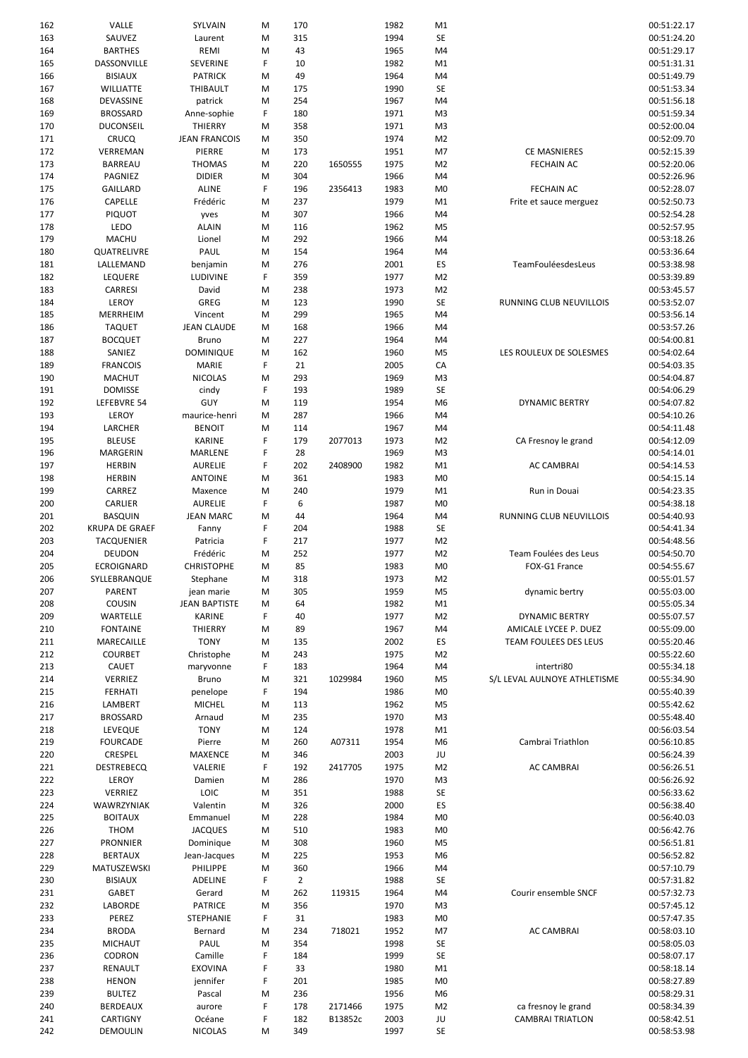| 162        | VALLE                 | SYLVAIN              | M      | 170            |         | 1982         | M1             |                              | 00:51:22.17                |
|------------|-----------------------|----------------------|--------|----------------|---------|--------------|----------------|------------------------------|----------------------------|
| 163        | SAUVEZ                | Laurent              | M      | 315            |         | 1994         | SE             |                              | 00:51:24.20                |
| 164        | <b>BARTHES</b>        | REMI                 | M      | 43             |         | 1965         | M4             |                              | 00:51:29.17                |
| 165        | DASSONVILLE           | SEVERINE             | F      | 10             |         | 1982         | M1             |                              | 00:51:31.31                |
| 166        | <b>BISIAUX</b>        | <b>PATRICK</b>       | M      | 49             |         | 1964         | M4             |                              | 00:51:49.79                |
| 167        | WILLIATTE             | THIBAULT             | M      | 175            |         | 1990         | <b>SE</b>      |                              | 00:51:53.34                |
| 168        | DEVASSINE             | patrick              | M      | 254            |         | 1967         | M4             |                              | 00:51:56.18                |
| 169        | <b>BROSSARD</b>       | Anne-sophie          | F      | 180            |         | 1971         | M <sub>3</sub> |                              | 00:51:59.34                |
|            |                       |                      |        |                |         |              |                |                              |                            |
| 170        | <b>DUCONSEIL</b>      | THIERRY              | M      | 358            |         | 1971         | M3             |                              | 00:52:00.04                |
| 171        | <b>CRUCQ</b>          | <b>JEAN FRANCOIS</b> | M      | 350            |         | 1974         | M <sub>2</sub> |                              | 00:52:09.70                |
| 172        | VERREMAN              | PIERRE               | M      | 173            |         | 1951         | M7             | <b>CE MASNIERES</b>          | 00:52:15.39                |
| 173        | BARREAU               | <b>THOMAS</b>        | M      | 220            | 1650555 | 1975         | M <sub>2</sub> | <b>FECHAIN AC</b>            | 00:52:20.06                |
| 174        | PAGNIEZ               | <b>DIDIER</b>        | M      | 304            |         | 1966         | M4             |                              | 00:52:26.96                |
| 175        | GAILLARD              | <b>ALINE</b>         | F      | 196            | 2356413 | 1983         | M <sub>0</sub> | <b>FECHAIN AC</b>            | 00:52:28.07                |
| 176        | CAPELLE               | Frédéric             | M      | 237            |         | 1979         | M1             | Frite et sauce merguez       | 00:52:50.73                |
| 177        | <b>PIQUOT</b>         | yves                 | M      | 307            |         | 1966         | M4             |                              | 00:52:54.28                |
| 178        | LEDO                  | <b>ALAIN</b>         | M      | 116            |         | 1962         | M5             |                              | 00:52:57.95                |
| 179        | <b>MACHU</b>          | Lionel               | M      | 292            |         | 1966         | M4             |                              | 00:53:18.26                |
| 180        | QUATRELIVRE           | PAUL                 | M      | 154            |         | 1964         | M4             |                              | 00:53:36.64                |
| 181        | LALLEMAND             | benjamin             | M      | 276            |         | 2001         | ES             | TeamFouléesdesLeus           | 00:53:38.98                |
| 182        | <b>LEQUERE</b>        | LUDIVINE             | F      | 359            |         | 1977         | M <sub>2</sub> |                              | 00:53:39.89                |
| 183        | <b>CARRESI</b>        | David                | M      | 238            |         | 1973         | M <sub>2</sub> |                              | 00:53:45.57                |
| 184        | LEROY                 | GREG                 | M      | 123            |         | 1990         | SE             | RUNNING CLUB NEUVILLOIS      | 00:53:52.07                |
|            | MERRHEIM              |                      |        | 299            |         |              |                |                              |                            |
| 185        |                       | Vincent              | M      |                |         | 1965         | M4             |                              | 00:53:56.14                |
| 186        | <b>TAQUET</b>         | <b>JEAN CLAUDE</b>   | M      | 168            |         | 1966         | M4             |                              | 00:53:57.26                |
| 187        | <b>BOCQUET</b>        | <b>Bruno</b>         | M      | 227            |         | 1964         | M4             |                              | 00:54:00.81                |
| 188        | SANIEZ                | <b>DOMINIQUE</b>     | M      | 162            |         | 1960         | M <sub>5</sub> | LES ROULEUX DE SOLESMES      | 00:54:02.64                |
| 189        | <b>FRANCOIS</b>       | <b>MARIE</b>         | F      | 21             |         | 2005         | CA             |                              | 00:54:03.35                |
| 190        | <b>MACHUT</b>         | <b>NICOLAS</b>       | M      | 293            |         | 1969         | M <sub>3</sub> |                              | 00:54:04.87                |
| 191        | <b>DOMISSE</b>        | cindy                | F      | 193            |         | 1989         | <b>SE</b>      |                              | 00:54:06.29                |
| 192        | LEFEBVRE 54           | GUY                  | M      | 119            |         | 1954         | M6             | DYNAMIC BERTRY               | 00:54:07.82                |
| 193        | LEROY                 | maurice-henri        | M      | 287            |         | 1966         | M4             |                              | 00:54:10.26                |
| 194        | LARCHER               | <b>BENOIT</b>        | M      | 114            |         | 1967         | M4             |                              | 00:54:11.48                |
| 195        | <b>BLEUSE</b>         | <b>KARINE</b>        | F      | 179            | 2077013 | 1973         | M <sub>2</sub> | CA Fresnoy le grand          | 00:54:12.09                |
| 196        | MARGERIN              | MARLENE              | F      | 28             |         | 1969         | M <sub>3</sub> |                              | 00:54:14.01                |
| 197        | <b>HERBIN</b>         | <b>AURELIE</b>       | F      | 202            | 2408900 | 1982         | M1             | <b>AC CAMBRAI</b>            | 00:54:14.53                |
| 198        | <b>HERBIN</b>         | <b>ANTOINE</b>       | M      | 361            |         | 1983         | M <sub>0</sub> |                              | 00:54:15.14                |
| 199        | CARREZ                | Maxence              | M      | 240            |         | 1979         | M1             | Run in Douai                 | 00:54:23.35                |
|            |                       |                      |        |                |         |              |                |                              |                            |
| 200        | CARLIER               | <b>AURELIE</b>       | F      | 6              |         | 1987         | M <sub>0</sub> |                              | 00:54:38.18                |
| 201        | <b>BASQUIN</b>        | <b>JEAN MARC</b>     | M      | 44             |         | 1964         | M4             | RUNNING CLUB NEUVILLOIS      | 00:54:40.93                |
| 202        | <b>KRUPA DE GRAEF</b> | Fanny                | F      | 204            |         | 1988         | SE             |                              | 00:54:41.34                |
| 203        | TACQUENIER            | Patricia             | F      | 217            |         | 1977         | M <sub>2</sub> |                              | 00:54:48.56                |
| 204        | DEUDON                | Frédéric             | M      | 252            |         | 1977         | M <sub>2</sub> | Team Foulées des Leus        | 00:54:50.70                |
| 205        | ECROIGNARD            | <b>CHRISTOPHE</b>    | M      | 85             |         | 1983         | M <sub>0</sub> | FOX-G1 France                | 00:54:55.67                |
| 206        | SYLLEBRANQUE          | Stephane             | м      | 318            |         | 1973         | M <sub>2</sub> |                              | 00:55:01.57                |
| 207        | PARENT                | jean marie           | M      | 305            |         | 1959         | M5             | dynamic bertry               | 00:55:03.00                |
| 208        | <b>COUSIN</b>         | <b>JEAN BAPTISTE</b> | M      | 64             |         | 1982         | M1             |                              | 00:55:05.34                |
| 209        | WARTELLE              | KARINE               | F      | 40             |         | 1977         | M <sub>2</sub> | DYNAMIC BERTRY               | 00:55:07.57                |
| 210        | <b>FONTAINE</b>       | THIERRY              | M      | 89             |         | 1967         | M4             | AMICALE LYCEE P. DUEZ        | 00:55:09.00                |
| 211        | MARECAILLE            | <b>TONY</b>          | M      | 135            |         | 2002         | ES             | TEAM FOULEES DES LEUS        | 00:55:20.46                |
| 212        | <b>COURBET</b>        | Christophe           | M      | 243            |         | 1975         | M <sub>2</sub> |                              | 00:55:22.60                |
| 213        | <b>CAUET</b>          | maryvonne            | F      | 183            |         | 1964         | M4             | intertri80                   | 00:55:34.18                |
| 214        | VERRIEZ               | Bruno                | M      | 321            | 1029984 | 1960         | M5             | S/L LEVAL AULNOYE ATHLETISME | 00:55:34.90                |
| 215        | <b>FERHATI</b>        | penelope             | F      | 194            |         | 1986         | M <sub>0</sub> |                              | 00:55:40.39                |
| 216        | LAMBERT               | <b>MICHEL</b>        | M      | 113            |         | 1962         | M5             |                              | 00:55:42.62                |
|            |                       |                      |        |                |         |              |                |                              |                            |
| 217        | <b>BROSSARD</b>       | Arnaud               | M      | 235            |         | 1970         | M3             |                              | 00:55:48.40                |
| 218        | LEVEQUE               | <b>TONY</b>          | M      | 124            |         | 1978         | M1             |                              | 00:56:03.54                |
| 219        | <b>FOURCADE</b>       | Pierre               | M      | 260            | A07311  | 1954         | M6             | Cambrai Triathlon            | 00:56:10.85                |
| 220        | CRESPEL               | <b>MAXENCE</b>       | M      | 346            |         | 2003         | JU             |                              | 00:56:24.39                |
| 221        | <b>DESTREBECQ</b>     | VALERIE              | F      | 192            | 2417705 | 1975         | M <sub>2</sub> | <b>AC CAMBRAI</b>            | 00:56:26.51                |
| 222        | LEROY                 | Damien               | M      | 286            |         | 1970         | M3             |                              | 00:56:26.92                |
| 223        | VERRIEZ               | LOIC                 | M      | 351            |         | 1988         | SE             |                              | 00:56:33.62                |
| 224        | WAWRZYNIAK            | Valentin             | M      | 326            |         | 2000         | ES             |                              | 00:56:38.40                |
| 225        | <b>BOITAUX</b>        | Emmanuel             | M      | 228            |         | 1984         | M <sub>0</sub> |                              | 00:56:40.03                |
| 226        | <b>THOM</b>           | <b>JACQUES</b>       | M      | 510            |         | 1983         | M <sub>0</sub> |                              | 00:56:42.76                |
| 227        | <b>PRONNIER</b>       | Dominique            | M      | 308            |         | 1960         | M5             |                              | 00:56:51.81                |
| 228        | <b>BERTAUX</b>        | Jean-Jacques         | М      | 225            |         | 1953         | M6             |                              | 00:56:52.82                |
| 229        | MATUSZEWSKI           | PHILIPPE             | M      | 360            |         | 1966         | M4             |                              | 00:57:10.79                |
| 230        | <b>BISIAUX</b>        | ADELINE              | F      | $\overline{2}$ |         | 1988         | SE             |                              | 00:57:31.82                |
| 231        | GABET                 | Gerard               | M      | 262            | 119315  | 1964         | M4             | Courir ensemble SNCF         | 00:57:32.73                |
| 232        | LABORDE               | <b>PATRICE</b>       | M      | 356            |         | 1970         | M <sub>3</sub> |                              | 00:57:45.12                |
| 233        | PEREZ                 | STEPHANIE            | F      | 31             |         | 1983         | M <sub>0</sub> |                              | 00:57:47.35                |
| 234        | <b>BRODA</b>          | Bernard              | M      | 234            | 718021  | 1952         | M7             | <b>AC CAMBRAI</b>            | 00:58:03.10                |
|            |                       |                      |        |                |         |              |                |                              |                            |
| 235        | <b>MICHAUT</b>        | PAUL                 | M      | 354            |         | 1998         | SE             |                              | 00:58:05.03                |
| 236        | CODRON                | Camille              | F      | 184            |         | 1999         | SE             |                              | 00:58:07.17                |
| 237        | RENAULT               | <b>EXOVINA</b>       | F      | 33             |         | 1980         | M1             |                              | 00:58:18.14                |
| 238        | <b>HENON</b>          | jennifer             | F      | 201            |         | 1985         | M <sub>0</sub> |                              | 00:58:27.89                |
|            |                       |                      |        |                |         |              |                |                              |                            |
| 239        | <b>BULTEZ</b>         | Pascal               | M      | 236            |         | 1956         | M6             |                              | 00:58:29.31                |
| 240        | <b>BERDEAUX</b>       | aurore               | F      | 178            | 2171466 | 1975         | M <sub>2</sub> | ca fresnoy le grand          | 00:58:34.39                |
| 241<br>242 | CARTIGNY<br>DEMOULIN  | Océane<br>NICOLAS    | F<br>M | 182<br>349     | B13852c | 2003<br>1997 | JU<br>SE       | <b>CAMBRAI TRIATLON</b>      | 00:58:42.51<br>00:58:53.98 |